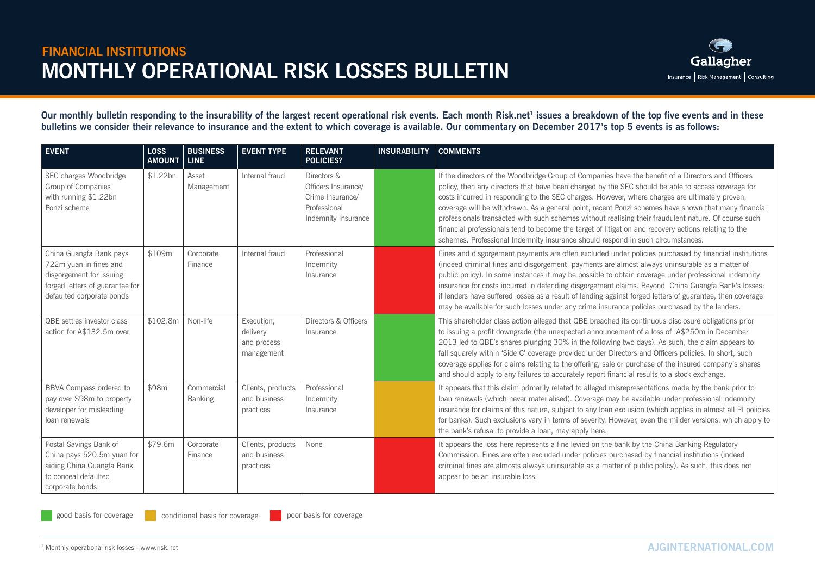

Our monthly bulletin responding to the insurability of the largest recent operational risk events. Each month Risk.net<sup>1</sup> issues a breakdown of the top five events and in these **bulletins we consider their relevance to insurance and the extent to which coverage is available. Our commentary on December 2017's top 5 events is as follows:**

| <b>EVENT</b>                                                                                                                                  | <b>LOSS</b><br><b>AMOUNT</b> | <b>BUSINESS</b><br><b>LINE</b> | <b>EVENT TYPE</b>                                   | <b>RELEVANT</b><br><b>POLICIES?</b>                                                           | <b>INSURABILITY</b> | <b>COMMENTS</b>                                                                                                                                                                                                                                                                                                                                                                                                                                                                                                                                                                                                                                                                                                      |
|-----------------------------------------------------------------------------------------------------------------------------------------------|------------------------------|--------------------------------|-----------------------------------------------------|-----------------------------------------------------------------------------------------------|---------------------|----------------------------------------------------------------------------------------------------------------------------------------------------------------------------------------------------------------------------------------------------------------------------------------------------------------------------------------------------------------------------------------------------------------------------------------------------------------------------------------------------------------------------------------------------------------------------------------------------------------------------------------------------------------------------------------------------------------------|
| SEC charges Woodbridge<br>Group of Companies<br>with running \$1.22bn<br>Ponzi scheme                                                         | \$1.22bn                     | Asset<br>Management            | Internal fraud                                      | Directors &<br>Officers Insurance/<br>Crime Insurance/<br>Professional<br>Indemnity Insurance |                     | If the directors of the Woodbridge Group of Companies have the benefit of a Directors and Officers<br>policy, then any directors that have been charged by the SEC should be able to access coverage for<br>costs incurred in responding to the SEC charges. However, where charges are ultimately proven,<br>coverage will be withdrawn. As a general point, recent Ponzi schemes have shown that many financial<br>professionals transacted with such schemes without realising their fraudulent nature. Of course such<br>financial professionals tend to become the target of litigation and recovery actions relating to the<br>schemes. Professional Indemnity insurance should respond in such circumstances. |
| China Guangfa Bank pays<br>722m yuan in fines and<br>disgorgement for issuing<br>forged letters of guarantee for<br>defaulted corporate bonds | \$109m                       | Corporate<br>Finance           | Internal fraud                                      | Professional<br>Indemnity<br>Insurance                                                        |                     | Fines and disgorgement payments are often excluded under policies purchased by financial institutions<br>(indeed criminal fines and disgorgement payments are almost always uninsurable as a matter of<br>public policy). In some instances it may be possible to obtain coverage under professional indemnity<br>insurance for costs incurred in defending disgorgement claims. Beyond China Guangfa Bank's losses:<br>if lenders have suffered losses as a result of lending against forged letters of guarantee, then coverage<br>may be available for such losses under any crime insurance policies purchased by the lenders.                                                                                   |
| QBE settles investor class<br>action for A\$132.5m over                                                                                       | \$102.8m                     | Non-life                       | Execution,<br>delivery<br>and process<br>management | Directors & Officers<br>Insurance                                                             |                     | This shareholder class action alleged that QBE breached its continuous disclosure obligations prior<br>to issuing a profit downgrade (the unexpected announcement of a loss of A\$250m in December<br>2013 led to QBE's shares plunging 30% in the following two days). As such, the claim appears to<br>fall squarely within 'Side C' coverage provided under Directors and Officers policies. In short, such<br>coverage applies for claims relating to the offering, sale or purchase of the insured company's shares<br>and should apply to any failures to accurately report financial results to a stock exchange.                                                                                             |
| BBVA Compass ordered to<br>pay over \$98m to property<br>developer for misleading<br>loan renewals                                            | \$98m                        | Commercial<br><b>Banking</b>   | Clients, products<br>and business<br>practices      | Professional<br>Indemnity<br>Insurance                                                        |                     | It appears that this claim primarily related to alleged misrepresentations made by the bank prior to<br>loan renewals (which never materialised). Coverage may be available under professional indemnity<br>insurance for claims of this nature, subject to any loan exclusion (which applies in almost all PI policies<br>for banks). Such exclusions vary in terms of severity. However, even the milder versions, which apply to<br>the bank's refusal to provide a loan, may apply here.                                                                                                                                                                                                                         |
| Postal Savings Bank of<br>China pays 520.5m yuan for<br>aiding China Guangfa Bank<br>to conceal defaulted<br>corporate bonds                  | \$79.6m                      | Corporate<br>Finance           | Clients, products<br>and business<br>practices      | None                                                                                          |                     | It appears the loss here represents a fine levied on the bank by the China Banking Regulatory<br>Commission. Fines are often excluded under policies purchased by financial institutions (indeed<br>criminal fines are almosts always uninsurable as a matter of public policy). As such, this does not<br>appear to be an insurable loss.                                                                                                                                                                                                                                                                                                                                                                           |

good basis for coverage conditional basis for coverage poor basis for coverage